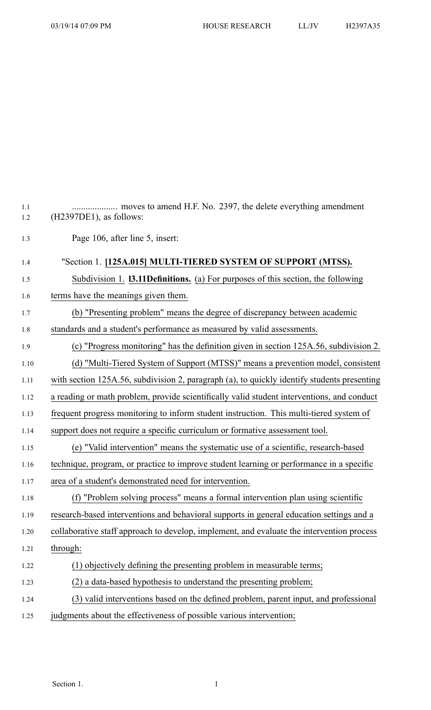| 1.1<br>1.2 | $(H2397DE1)$ , as follows:                                                                  |
|------------|---------------------------------------------------------------------------------------------|
| 1.3        | Page 106, after line 5, insert:                                                             |
| 1.4        | "Section 1. [125A.015] MULTI-TIERED SYSTEM OF SUPPORT (MTSS).                               |
| 1.5        | Subdivision 1. <b>13.11 Definitions.</b> (a) For purposes of this section, the following    |
| 1.6        | terms have the meanings given them.                                                         |
| 1.7        | (b) "Presenting problem" means the degree of discrepancy between academic                   |
| 1.8        | standards and a student's performance as measured by valid assessments.                     |
| 1.9        | (c) "Progress monitoring" has the definition given in section 125A.56, subdivision 2.       |
| 1.10       | (d) "Multi-Tiered System of Support (MTSS)" means a prevention model, consistent            |
| 1.11       | with section 125A.56, subdivision 2, paragraph (a), to quickly identify students presenting |
| 1.12       | a reading or math problem, provide scientifically valid student interventions, and conduct  |
| 1.13       | frequent progress monitoring to inform student instruction. This multi-tiered system of     |
| 1.14       | support does not require a specific curriculum or formative assessment tool.                |
| 1.15       | (e) "Valid intervention" means the systematic use of a scientific, research-based           |
| 1.16       | technique, program, or practice to improve student learning or performance in a specific    |
| 1.17       | area of a student's demonstrated need for intervention.                                     |
| 1.18       | (f) "Problem solving process" means a formal intervention plan using scientific             |
| 1.19       | research-based interventions and behavioral supports in general education settings and a    |
| 1.20       | collaborative staff approach to develop, implement, and evaluate the intervention process   |
| 1.21       | through:                                                                                    |
| 1.22       | (1) objectively defining the presenting problem in measurable terms;                        |
| 1.23       | (2) a data-based hypothesis to understand the presenting problem;                           |
| 1.24       | (3) valid interventions based on the defined problem, parent input, and professional        |
| 1.25       | judgments about the effectiveness of possible various intervention;                         |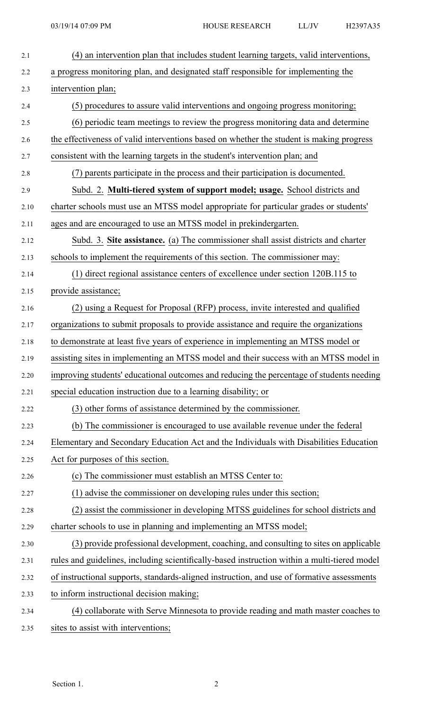| 2.1  | (4) an intervention plan that includes student learning targets, valid interventions,        |
|------|----------------------------------------------------------------------------------------------|
| 2.2  | a progress monitoring plan, and designated staff responsible for implementing the            |
| 2.3  | intervention plan;                                                                           |
| 2.4  | (5) procedures to assure valid interventions and ongoing progress monitoring;                |
| 2.5  | (6) periodic team meetings to review the progress monitoring data and determine              |
| 2.6  | the effectiveness of valid interventions based on whether the student is making progress     |
| 2.7  | consistent with the learning targets in the student's intervention plan; and                 |
| 2.8  | (7) parents participate in the process and their participation is documented.                |
| 2.9  | Subd. 2. Multi-tiered system of support model; usage. School districts and                   |
| 2.10 | charter schools must use an MTSS model appropriate for particular grades or students'        |
| 2.11 | ages and are encouraged to use an MTSS model in prekindergarten.                             |
| 2.12 | Subd. 3. Site assistance. (a) The commissioner shall assist districts and charter            |
| 2.13 | schools to implement the requirements of this section. The commissioner may:                 |
| 2.14 | (1) direct regional assistance centers of excellence under section 120B.115 to               |
| 2.15 | provide assistance;                                                                          |
| 2.16 | (2) using a Request for Proposal (RFP) process, invite interested and qualified              |
| 2.17 | organizations to submit proposals to provide assistance and require the organizations        |
| 2.18 | to demonstrate at least five years of experience in implementing an MTSS model or            |
| 2.19 | assisting sites in implementing an MTSS model and their success with an MTSS model in        |
| 2.20 | improving students' educational outcomes and reducing the percentage of students needing     |
| 2.21 | special education instruction due to a learning disability; or                               |
| 2.22 | (3) other forms of assistance determined by the commissioner.                                |
| 2.23 | (b) The commissioner is encouraged to use available revenue under the federal                |
| 2.24 | Elementary and Secondary Education Act and the Individuals with Disabilities Education       |
| 2.25 | Act for purposes of this section.                                                            |
| 2.26 | (c) The commissioner must establish an MTSS Center to:                                       |
| 2.27 | (1) advise the commissioner on developing rules under this section;                          |
| 2.28 | (2) assist the commissioner in developing MTSS guidelines for school districts and           |
| 2.29 | charter schools to use in planning and implementing an MTSS model;                           |
| 2.30 | (3) provide professional development, coaching, and consulting to sites on applicable        |
| 2.31 | rules and guidelines, including scientifically-based instruction within a multi-tiered model |
| 2.32 | of instructional supports, standards-aligned instruction, and use of formative assessments   |
| 2.33 | to inform instructional decision making;                                                     |
| 2.34 | (4) collaborate with Serve Minnesota to provide reading and math master coaches to           |
| 2.35 | sites to assist with interventions;                                                          |